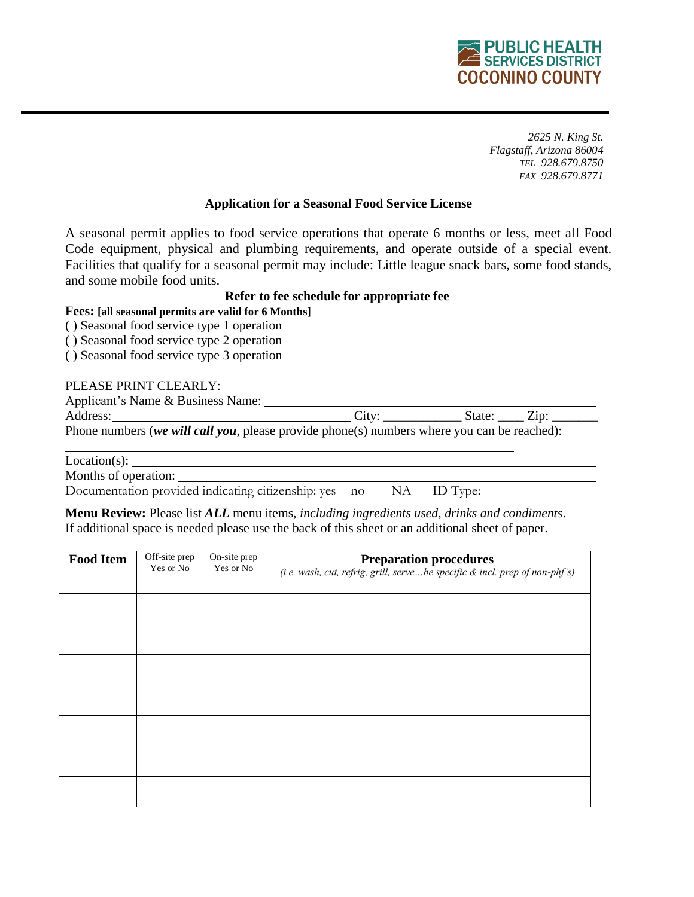# **PUBLIC HEALTH SERVICES DISTRICT COCONINO COUNTY**

*2625 N. King St. Flagstaff, Arizona 86004 TEL 928.679.8750 FAX 928.679.8771*

## **Application for a Seasonal Food Service License**

A seasonal permit applies to food service operations that operate 6 months or less, meet all Food Code equipment, physical and plumbing requirements, and operate outside of a special event. Facilities that qualify for a seasonal permit may include: Little league snack bars, some food stands, and some mobile food units.

## **Refer to fee schedule for appropriate fee**

## **Fees: [all seasonal permits are valid for 6 Months]**

( ) Seasonal food service type 1 operation

( ) Seasonal food service type 2 operation

( ) Seasonal food service type 3 operation

## PLEASE PRINT CLEARLY:

| Applicant's Name & Business Name:                                                           |       |        |         |
|---------------------------------------------------------------------------------------------|-------|--------|---------|
| Address:                                                                                    | City. | State: | $Z$ in: |
| Phone numbers (we will call you, please provide phone(s) numbers where you can be reached): |       |        |         |

Location(s):

Months of operation:

Documentation provided indicating citizenship: yes no NA ID Type:

**Menu Review:** Please list *ALL* menu items, *including ingredients used, drinks and condiments*. If additional space is needed please use the back of this sheet or an additional sheet of paper.

| <b>Food Item</b> | Off-site prep<br>Yes or No | On-site prep<br>Yes or No | <b>Preparation procedures</b><br>(i.e. wash, cut, refrig, grill, servebe specific & incl. prep of non-phf's) |
|------------------|----------------------------|---------------------------|--------------------------------------------------------------------------------------------------------------|
|                  |                            |                           |                                                                                                              |
|                  |                            |                           |                                                                                                              |
|                  |                            |                           |                                                                                                              |
|                  |                            |                           |                                                                                                              |
|                  |                            |                           |                                                                                                              |
|                  |                            |                           |                                                                                                              |
|                  |                            |                           |                                                                                                              |